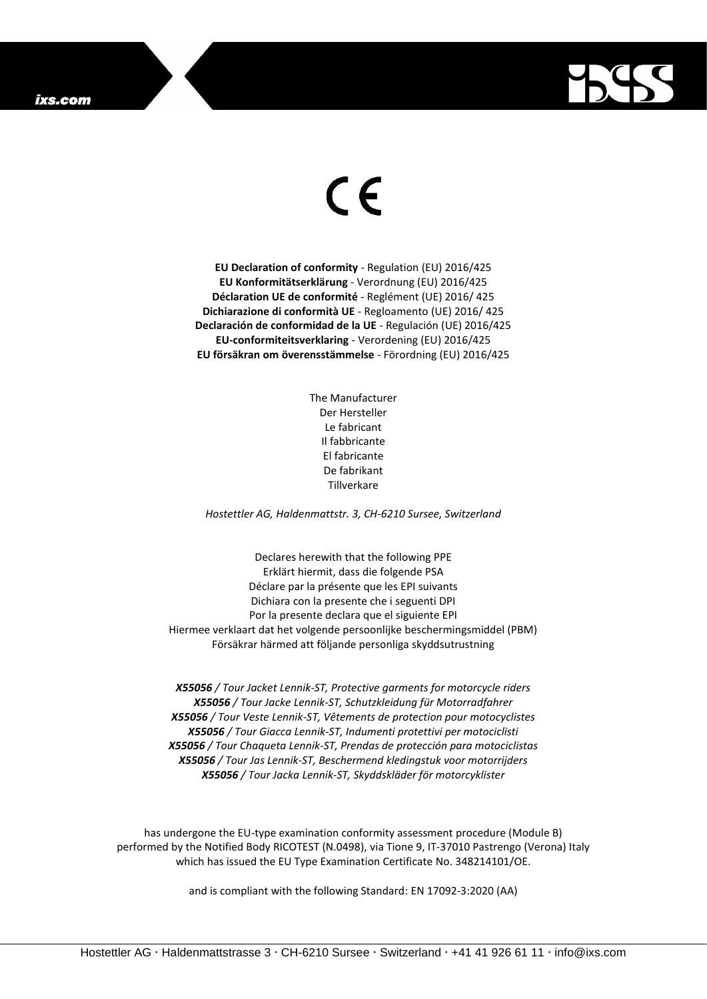## ixs.com



## $\epsilon$

**EU Declaration of conformity** - Regulation (EU) 2016/425 **EU Konformitätserklärung** - Verordnung (EU) 2016/425 **Déclaration UE de conformité** - Reglément (UE) 2016/ 425 **Dichiarazione di conformità UE** - Regloamento (UE) 2016/ 425 **Declaración de conformidad de la UE** - Regulación (UE) 2016/425 **EU-conformiteitsverklaring** - Verordening (EU) 2016/425 **EU försäkran om överensstämmelse** - Förordning (EU) 2016/425

> The Manufacturer Der Hersteller Le fabricant Il fabbricante El fabricante De fabrikant Tillverkare

*Hostettler AG, Haldenmattstr. 3, CH-6210 Sursee, Switzerland*

Declares herewith that the following PPE Erklärt hiermit, dass die folgende PSA Déclare par la présente que les EPI suivants Dichiara con la presente che i seguenti DPI Por la presente declara que el siguiente EPI Hiermee verklaart dat het volgende persoonlijke beschermingsmiddel (PBM) Försäkrar härmed att följande personliga skyddsutrustning

*X55056 / Tour Jacket Lennik-ST, Protective garments for motorcycle riders X55056 / Tour Jacke Lennik-ST, Schutzkleidung für Motorradfahrer X55056 / Tour Veste Lennik-ST, Vêtements de protection pour motocyclistes X55056 / Tour Giacca Lennik-ST, Indumenti protettivi per motociclisti X55056 / Tour Chaqueta Lennik-ST, Prendas de protección para motociclistas X55056 / Tour Jas Lennik-ST, Beschermend kledingstuk voor motorrijders X55056 / Tour Jacka Lennik-ST, Skyddskläder för motorcyklister*

has undergone the EU-type examination conformity assessment procedure (Module B) performed by the Notified Body RICOTEST (N.0498), via Tione 9, IT-37010 Pastrengo (Verona) Italy which has issued the EU Type Examination Certificate No. 348214101/OE.

and is compliant with the following Standard: EN 17092-3:2020 (AA)